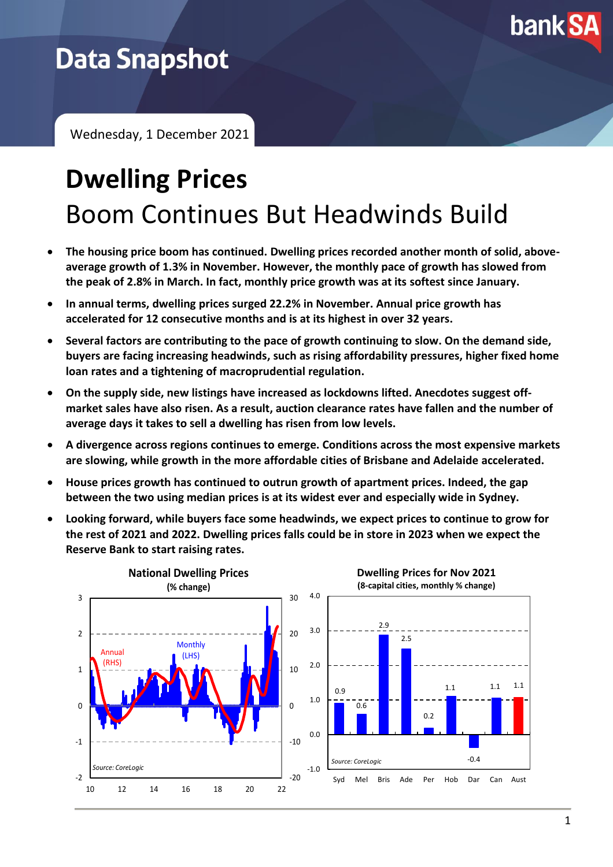

## **Data Snapshot**

Wednesday, 1 December 2021

# **Dwelling Prices** Boom Continues But Headwinds Build

- **The housing price boom has continued. Dwelling prices recorded another month of solid, aboveaverage growth of 1.3% in November. However, the monthly pace of growth has slowed from the peak of 2.8% in March. In fact, monthly price growth was at its softest since January.**
- **In annual terms, dwelling prices surged 22.2% in November. Annual price growth has accelerated for 12 consecutive months and is at its highest in over 32 years.**
- **Several factors are contributing to the pace of growth continuing to slow. On the demand side, buyers are facing increasing headwinds, such as rising affordability pressures, higher fixed home loan rates and a tightening of macroprudential regulation.**
- **On the supply side, new listings have increased as lockdowns lifted. Anecdotes suggest offmarket sales have also risen. As a result, auction clearance rates have fallen and the number of average days it takes to sell a dwelling has risen from low levels.**
- **A divergence across regions continues to emerge. Conditions across the most expensive markets are slowing, while growth in the more affordable cities of Brisbane and Adelaide accelerated.**
- **House prices growth has continued to outrun growth of apartment prices. Indeed, the gap between the two using median prices is at its widest ever and especially wide in Sydney.**
- **Looking forward, while buyers face some headwinds, we expect prices to continue to grow for the rest of 2021 and 2022. Dwelling prices falls could be in store in 2023 when we expect the Reserve Bank to start raising rates.**

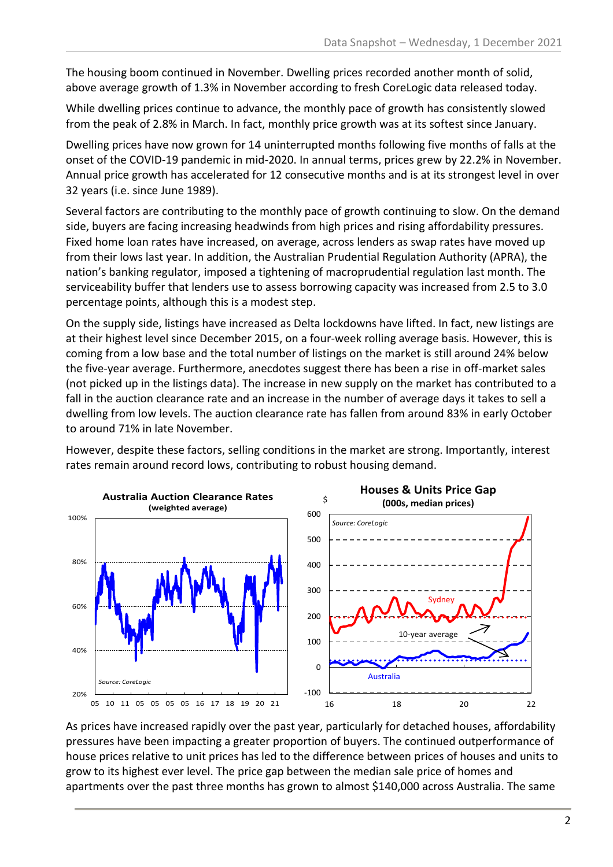The housing boom continued in November. Dwelling prices recorded another month of solid, above average growth of 1.3% in November according to fresh CoreLogic data released today.

While dwelling prices continue to advance, the monthly pace of growth has consistently slowed from the peak of 2.8% in March. In fact, monthly price growth was at its softest since January.

Dwelling prices have now grown for 14 uninterrupted months following five months of falls at the onset of the COVID-19 pandemic in mid-2020. In annual terms, prices grew by 22.2% in November. Annual price growth has accelerated for 12 consecutive months and is at its strongest level in over 32 years (i.e. since June 1989).

Several factors are contributing to the monthly pace of growth continuing to slow. On the demand side, buyers are facing increasing headwinds from high prices and rising affordability pressures. Fixed home loan rates have increased, on average, across lenders as swap rates have moved up from their lows last year. In addition, the Australian Prudential Regulation Authority (APRA), the nation's banking regulator, imposed a tightening of macroprudential regulation last month. The serviceability buffer that lenders use to assess borrowing capacity was increased from 2.5 to 3.0 percentage points, although this is a modest step.

On the supply side, listings have increased as Delta lockdowns have lifted. In fact, new listings are at their highest level since December 2015, on a four-week rolling average basis. However, this is coming from a low base and the total number of listings on the market is still around 24% below the five-year average. Furthermore, anecdotes suggest there has been a rise in off-market sales (not picked up in the listings data). The increase in new supply on the market has contributed to a fall in the auction clearance rate and an increase in the number of average days it takes to sell a dwelling from low levels. The auction clearance rate has fallen from around 83% in early October to around 71% in late November.

However, despite these factors, selling conditions in the market are strong. Importantly, interest rates remain around record lows, contributing to robust housing demand.



As prices have increased rapidly over the past year, particularly for detached houses, affordability pressures have been impacting a greater proportion of buyers. The continued outperformance of house prices relative to unit prices has led to the difference between prices of houses and units to grow to its highest ever level. The price gap between the median sale price of homes and apartments over the past three months has grown to almost \$140,000 across Australia. The same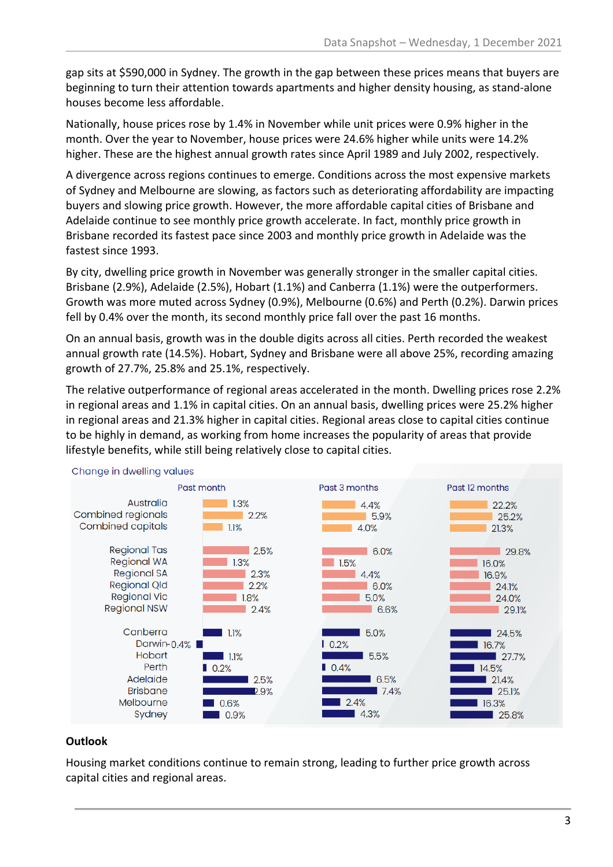gap sits at \$590,000 in Sydney. The growth in the gap between these prices means that buyers are beginning to turn their attention towards apartments and higher density housing, as stand-alone houses become less affordable.

Nationally, house prices rose by 1.4% in November while unit prices were 0.9% higher in the month. Over the year to November, house prices were 24.6% higher while units were 14.2% higher. These are the highest annual growth rates since April 1989 and July 2002, respectively.

A divergence across regions continues to emerge. Conditions across the most expensive markets of Sydney and Melbourne are slowing, as factors such as deteriorating affordability are impacting buyers and slowing price growth. However, the more affordable capital cities of Brisbane and Adelaide continue to see monthly price growth accelerate. In fact, monthly price growth in Brisbane recorded its fastest pace since 2003 and monthly price growth in Adelaide was the fastest since 1993.

By city, dwelling price growth in November was generally stronger in the smaller capital cities. Brisbane (2.9%), Adelaide (2.5%), Hobart (1.1%) and Canberra (1.1%) were the outperformers. Growth was more muted across Sydney (0.9%), Melbourne (0.6%) and Perth (0.2%). Darwin prices fell by 0.4% over the month, its second monthly price fall over the past 16 months.

On an annual basis, growth was in the double digits across all cities. Perth recorded the weakest annual growth rate (14.5%). Hobart, Sydney and Brisbane were all above 25%, recording amazing growth of 27.7%, 25.8% and 25.1%, respectively.

The relative outperformance of regional areas accelerated in the month. Dwelling prices rose 2.2% in regional areas and 1.1% in capital cities. On an annual basis, dwelling prices were 25.2% higher in regional areas and 21.3% higher in capital cities. Regional areas close to capital cities continue to be highly in demand, as working from home increases the popularity of areas that provide lifestyle benefits, while still being relatively close to capital cities.



#### Change in dwelling values

#### **Outlook**

Housing market conditions continue to remain strong, leading to further price growth across capital cities and regional areas.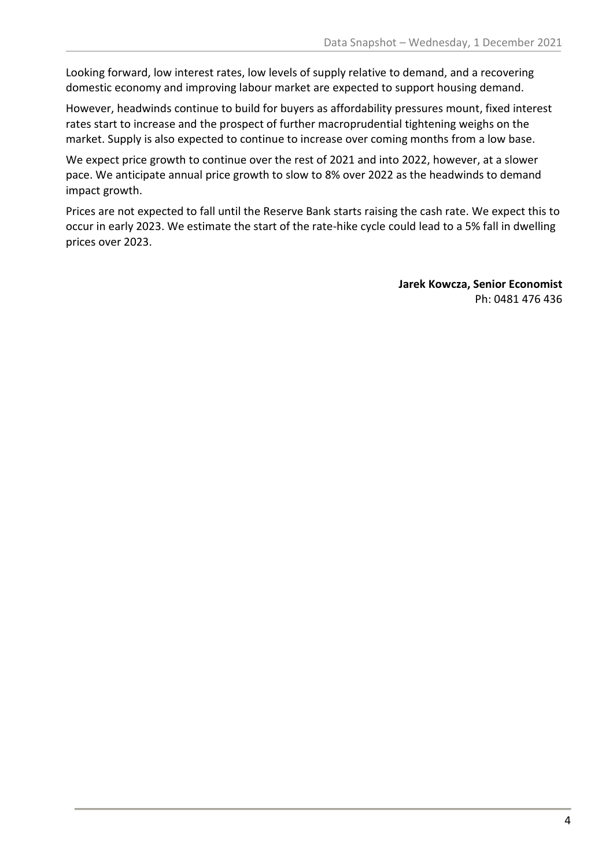Looking forward, low interest rates, low levels of supply relative to demand, and a recovering domestic economy and improving labour market are expected to support housing demand.

However, headwinds continue to build for buyers as affordability pressures mount, fixed interest rates start to increase and the prospect of further macroprudential tightening weighs on the market. Supply is also expected to continue to increase over coming months from a low base.

We expect price growth to continue over the rest of 2021 and into 2022, however, at a slower pace. We anticipate annual price growth to slow to 8% over 2022 as the headwinds to demand impact growth.

Prices are not expected to fall until the Reserve Bank starts raising the cash rate. We expect this to occur in early 2023. We estimate the start of the rate-hike cycle could lead to a 5% fall in dwelling prices over 2023.

> **Jarek Kowcza, Senior Economist** Ph: 0481 476 436